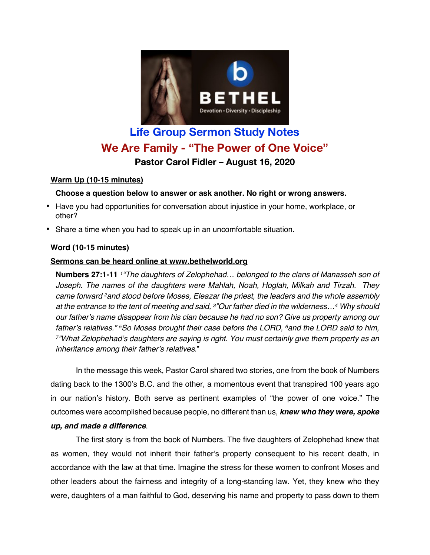

# **Life Group Sermon Study Notes We Are Family - "The Power of One Voice" Pastor Carol Fidler – August 16, 2020**

# **Warm Up (10-15 minutes)**

### **Choose a question below to answer or ask another. No right or wrong answers.**

- Have you had opportunities for conversation about injustice in your home, workplace, or other?
- Share a time when you had to speak up in an uncomfortable situation.

# **Word (10-15 minutes)**

### **Sermons can be heard online at www.bethelworld.org**

**Numbers 27:1-11** *1"The daughters of Zelophehad… belonged to the clans of Manasseh son of Joseph. The names of the daughters were Mahlah, Noah, Hoglah, Milkah and Tirzah. They came forward 2and stood before Moses, Eleazar the priest, the leaders and the whole assembly at the entrance to the tent of meeting and said, 3"Our father died in the wilderness…4 Why should our father's name disappear from his clan because he had no son? Give us property among our father's relatives." 5So Moses brought their case before the LORD, 6and the LORD said to him, 7"What Zelophehad's daughters are saying is right. You must certainly give them property as an inheritance among their father's relatives*."

In the message this week, Pastor Carol shared two stories, one from the book of Numbers dating back to the 1300's B.C. and the other, a momentous event that transpired 100 years ago in our nation's history. Both serve as pertinent examples of "the power of one voice." The outcomes were accomplished because people, no different than us, *knew who they were, spoke up, and made a difference*.

The first story is from the book of Numbers. The five daughters of Zelophehad knew that as women, they would not inherit their father's property consequent to his recent death, in accordance with the law at that time. Imagine the stress for these women to confront Moses and other leaders about the fairness and integrity of a long-standing law. Yet, they knew who they were, daughters of a man faithful to God, deserving his name and property to pass down to them